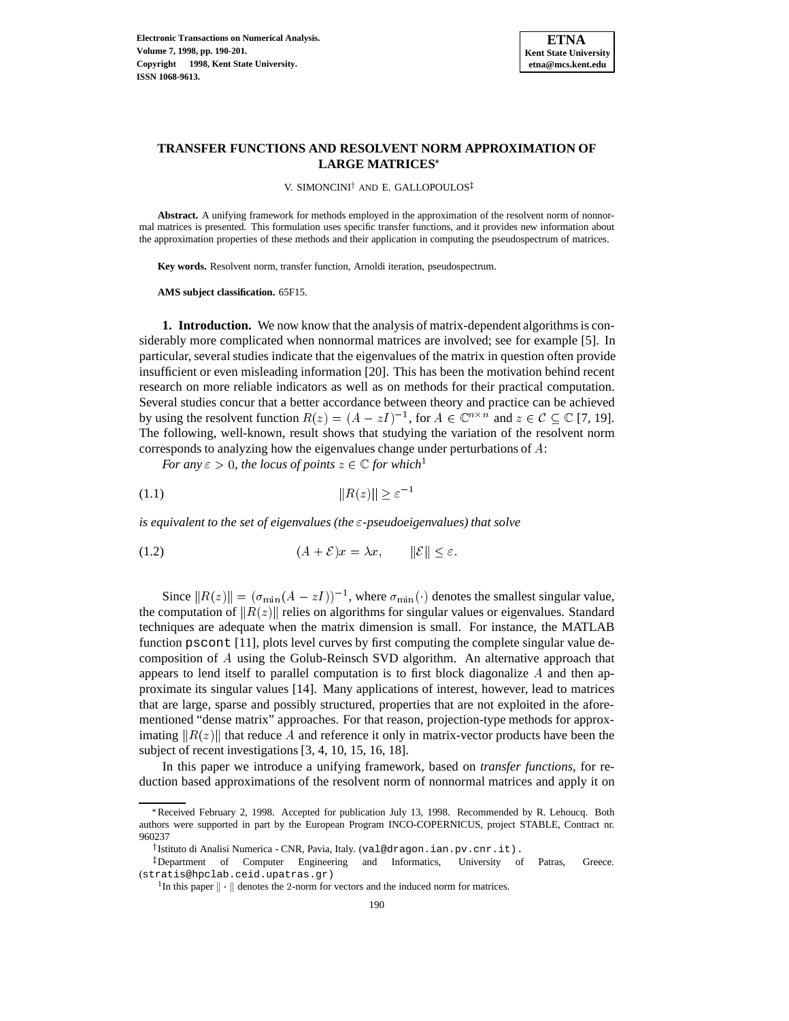

## **TRANSFER FUNCTIONS AND RESOLVENT NORM APPROXIMATION OF LARGE MATRICES**

V. SIMONCINI<sup>†</sup> AND E. GALLOPOULOS<sup>‡</sup>

**Abstract.** A unifying framework for methods employed in the approximation of the resolvent norm of nonnormal matrices is presented. This formulation uses specific transfer functions, and it provides new information about the approximation properties of these methods and their application in computing the pseudospectrum of matrices.

**Key words.** Resolvent norm, transfer function, Arnoldi iteration, pseudospectrum.

**AMS subject classification.** 65F15.

**1. Introduction.** We now know that the analysis of matrix-dependent algorithms is considerably more complicated when nonnormal matrices are involved; see for example [5]. In particular, several studies indicate that the eigenvalues of the matrix in question often provide insufficient or even misleading information [20]. This has been the motivation behind recent research on more reliable indicators as well as on methods for their practical computation. Several studies concur that a better accordance between theory and practice can be achieved by using the resolvent function  $R(z) = (A - zI)^{-1}$ , for  $A \in \mathbb{C}^{n \times n}$  and  $z \in \mathcal{C} \subseteq \mathbb{C}$  [7, 19]. The following, well-known, result shows that studying the variation of the resolvent norm corresponds to analyzing how the eigenvalues change under perturbations of <sup>A</sup>:

*For any*  $\varepsilon > 0$ *, the locus of points*  $z \in \mathbb{C}$  *for which*<sup>1</sup>

kR(z)k "1 (1.1)

*is equivalent to the set of eigenvalues (the*  $\varepsilon$ -pseudoeigenvalues) that solve

(1.2)  $(A + \mathcal{E})x = \lambda x, \qquad ||\mathcal{E}|| \le \varepsilon.$ 

Since  $||R(z)|| = (\sigma_{\min}(A - zI))^{-1}$ , where  $\sigma_{\min}(\cdot)$  denotes the smallest singular value, the computation of  $||R(z)||$  relies on algorithms for singular values or eigenvalues. Standard techniques are adequate when the matrix dimension is small. For instance, the MATLAB function pscont [11], plots level curves by first computing the complete singular value decomposition of A using the Golub-Reinsch SVD algorithm. An alternative approach that appears to lend itself to parallel computation is to first block diagonalize  $A$  and then approximate its singular values [14]. Many applications of interest, however, lead to matrices that are large, sparse and possibly structured, properties that are not exploited in the aforementioned "dense matrix" approaches. For that reason, projection-type methods for approximating  $||R(z)||$  that reduce A and reference it only in matrix-vector products have been the subject of recent investigations [3, 4, 10, 15, 16, 18].

In this paper we introduce a unifying framework, based on *transfer functions*, for reduction based approximations of the resolvent norm of nonnormal matrices and apply it on

<sup>\*</sup>Received February 2, 1998. Accepted for publication July 13, 1998. Recommended by R. Lehoucq. Both authors were supported in part by the European Program INCO-COPERNICUS, project STABLE, Contract nr. 960237

<sup>&</sup>lt;sup>†</sup> Istituto di Analisi Numerica - CNR, Pavia, Italy. (val@dragon.ian.pv.cnr.it).

<sup>z</sup> Department of Computer Engineering and Informatics, University of Patras, Greece. (stratis@hpclab.ceid.upatras.gr)

<sup>&</sup>lt;sup>1</sup>In this paper  $\|\cdot\|$  denotes the 2-norm for vectors and the induced norm for matrices.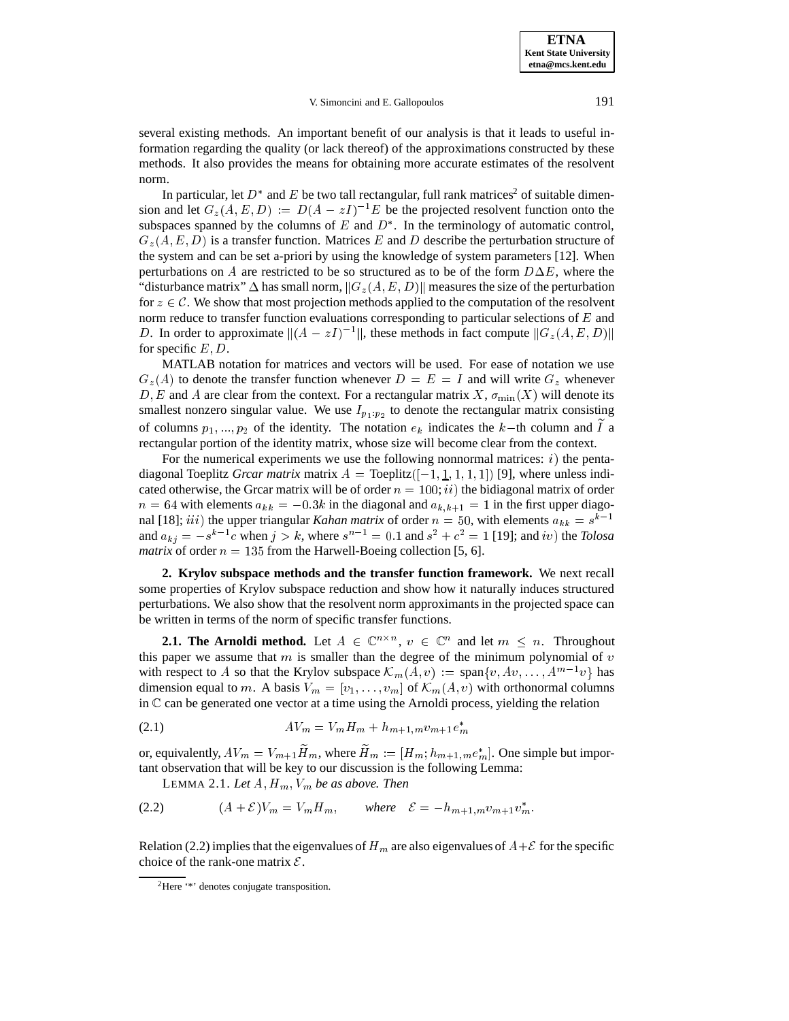**ETNA Kent State University etna@mcs.kent.edu**

V. Simoncini and E. Gallopoulos 191

several existing methods. An important benefit of our analysis is that it leads to useful information regarding the quality (or lack thereof) of the approximations constructed by these methods. It also provides the means for obtaining more accurate estimates of the resolvent norm.

In particular, let  $D^*$  and  $E$  be two tall rectangular, full rank matrices<sup>2</sup> of suitable dimension and let  $G_z(A, E, D) := D(A - zI)^{-1}E$  be the projected resolvent function onto the subspaces spanned by the columns of  $E$  and  $D^*$ . In the terminology of automatic control,  $G_z(A, E, D)$  is a transfer function. Matrices E and D describe the perturbation structure of the system and can be set a-priori by using the knowledge of system parameters [12]. When perturbations on A are restricted to be so structured as to be of the form  $D\Delta E$ , where the "disturbance matrix"  $\Delta$  has small norm,  $||G_z(A, E, D)||$  measures the size of the perturbation for  $z \in \mathcal{C}$ . We show that most projection methods applied to the computation of the resolvent norm reduce to transfer function evaluations corresponding to particular selections of  $E$  and D. In order to approximate  $\|(A - zI)^{-1}\|$ , these methods in fact compute  $\|G_z(A, E, D)\|$ for specific  $E, D$ .

MATLAB notation for matrices and vectors will be used. For ease of notation we use  $G_z(A)$  to denote the transfer function whenever  $D = E = I$  and will write  $G_z$  whenever D, E and A are clear from the context. For a rectangular matrix  $X$ ,  $\sigma_{\min}(X)$  will denote its smallest nonzero singular value. We use  $I_{p_1:p_2}$  to denote the rectangular matrix consisting of columns  $p_1, ..., p_2$  of the identity. The notation  $e_k$  indicates the k-th column and I a rectangular portion of the identity matrix, whose size will become clear from the context.

For the numerical experiments we use the following nonnormal matrices:  $i)$  the pentadiagonal Toeplitz *Grcar matrix* matrix  $A = \text{Toeplitz}([-1, 1, 1, 1, 1])$  [9], where unless indicated otherwise, the Grcar matrix will be of order  $n = 100$ ; ii) the bidiagonal matrix of order  $n = 64$  with elements  $a_{kk} = -0.3k$  in the diagonal and  $a_{k,k+1} = 1$  in the first upper diagonal [18]; *iii*) the upper triangular *Kahan matrix* of order  $n = 50$ , with elements  $a_{kk} = s^{k-1}$ and  $a_{kj} = -s^{k-1}c$  when  $j > k$ , where  $s^{n-1} = 0.1$  and  $s^2 + c^2 = 1$  [19]; and iv) the *Tolosa matrix* of order  $n = 135$  from the Harwell-Boeing collection [5, 6].

**2. Krylov subspace methods and the transfer function framework.** We next recall some properties of Krylov subspace reduction and show how it naturally induces structured perturbations. We also show that the resolvent norm approximants in the projected space can be written in terms of the norm of specific transfer functions.

**2.1. The Arnoldi method.** Let  $A \in \mathbb{C}^{n \times n}$ ,  $v \in \mathbb{C}^n$  and let  $m \leq n$ . Throughout this paper we assume that  $m$  is smaller than the degree of the minimum polynomial of  $v$ with respect to A so that the Krylov subspace  $\mathcal{K}_m(A, v) := \text{span}\{v, Av, \dots, A^{m-1}v\}$  has dimension equal to m. A basis  $V_m = [v_1, \ldots, v_m]$  of  $\mathcal{K}_m(A, v)$  with orthonormal columns in <sup>C</sup> can be generated one vector at a time using the Arnoldi process, yielding the relation

AVm <sup>=</sup> VmHm <sup>+</sup> hm+1;mvm+1e (2.1) <sup>m</sup>

or, equivalently,  $AV_m = V_{m+1}H_m$ , where  $H_m := [H_m; h_{m+1,m}e_m^*]$ . One simple but important observation that will be key to our discussion is the following Lemma:

LEMMA 2.1. *Let*  $A$ ,  $H_m$ ,  $V_m$  *be as above. Then* 

$$
(2.2) \qquad (A+\mathcal{E})V_m = V_m H_m, \qquad \text{where} \quad \mathcal{E} = -h_{m+1,m} v_{m+1} v_m^*.
$$

Relation (2.2) implies that the eigenvalues of  $H_m$  are also eigenvalues of  $A+\mathcal{E}$  for the specific choice of the rank-one matrix  $\mathcal{E}$ .

<sup>2</sup>Here '\*' denotes conjugate transposition.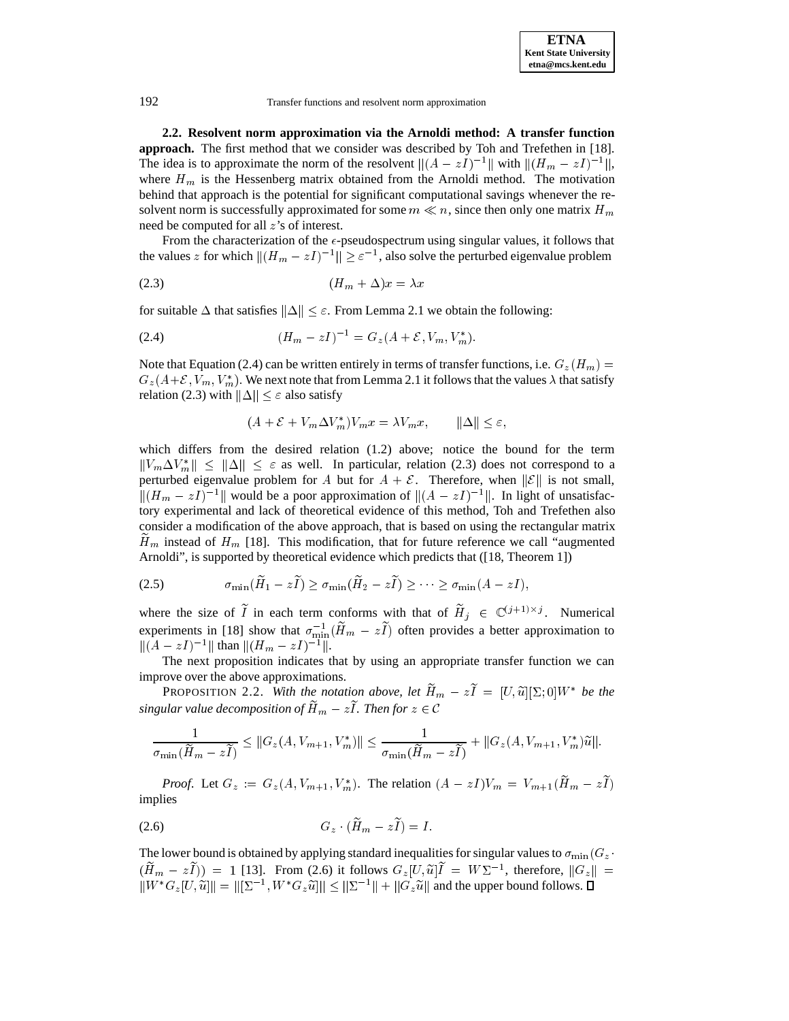**2.2. Resolvent norm approximation via the Arnoldi method: A transfer function approach.** The first method that we consider was described by Toh and Trefethen in [18]. The idea is to approximate the norm of the resolvent  $\|(A - zI)^{-1}\|$  with  $\|(H_m - zI)^{-1}\|$ , where  $H_m$  is the Hessenberg matrix obtained from the Arnoldi method. The motivation behind that approach is the potential for significant computational savings whenever the resolvent norm is successfully approximated for some  $m \ll n$ , since then only one matrix  $H_m$ need be computed for all z's of interest.

From the characterization of the  $\epsilon$ -pseudospectrum using singular values, it follows that the values z for which  $||(H_m - zI)^{-1}|| \ge \varepsilon^{-1}$ , also solve the perturbed eigenvalue problem

(2.3) (Hm + )x <sup>=</sup> x

for suitable  $\Delta$  that satisfies  $\|\Delta\| < \varepsilon$ . From Lemma 2.1 we obtain the following:

(2.4) 
$$
(H_m - zI)^{-1} = G_z(A + \mathcal{E}, V_m, V_m^*).
$$

Note that Equation (2.4) can be written entirely in terms of transfer functions, i.e.  $G_z(H_m)$  $G_z(A+\mathcal{E}, V_m, V_m^*)$ . We next note that from Lemma 2.1 it follows that the values  $\lambda$  that satisfy relation (2.3) with  $\|\Delta\| \leq \varepsilon$  also satisfy

$$
(A + \mathcal{E} + V_m \Delta V_m^*)V_m x = \lambda V_m x, \qquad \|\Delta\| \le \varepsilon,
$$

which differs from the desired relation (1.2) above; notice the bound for the term  $||V_m \Delta V_m^*|| \le ||\Delta|| \le \varepsilon$  as well. In particular, relation (2.3) does not correspond to a perturbed eigenvalue problem for A but for  $A + \mathcal{E}$ . Therefore, when  $\|\mathcal{E}\|$  is not small,  $||(H_m - zI)^{-1}||$  would be a poor approximation of  $||(A - zI)^{-1}||$ . In light of unsatisfactory experimental and lack of theoretical evidence of this method, Toh and Trefethen also consider a modification of the above approach, that is based on using the rectangular matrix  $H_m$  instead of  $H_m$  [18]. This modification, that for future reference we call "augmented Arnoldi", is supported by theoretical evidence which predicts that ([18, Theorem 1])

$$
\sigma_{\min}(\widetilde{H}_1 - z\widetilde{I}) \geq \sigma_{\min}(\widetilde{H}_2 - z\widetilde{I}) \geq \cdots \geq \sigma_{\min}(A - zI),
$$

where the size of I in each term conforms with that of  $H_j \in \mathbb{C}^{(j+1)\times j}$ . Numerical experiments in [18] show that  $\sigma_{\min}^{-1}(H_m - zI)$  often provides a better approximation to  $\|(A - zI)^{-1}\|$  than  $\|(H_m - zI)^{-1}\|.$ 

The next proposition indicates that by using an appropriate transfer function we can improve over the above approximations.

**PROPOSITION 2.2.** With the notation above, let  $H_m - zI = [U, \tilde{u}][\Sigma, 0]W^*$  be the *singular value decomposition of*  $\widetilde{H}_m - z\widetilde{I}$ *. Then for*  $z \in \mathcal{C}$ 

$$
\frac{1}{\sigma_{\min}(\widetilde{H}_m - z\widetilde{I})} \leq ||G_z(A, V_{m+1}, V_m^*)|| \leq \frac{1}{\sigma_{\min}(\widetilde{H}_m - z\widetilde{I})} + ||G_z(A, V_{m+1}, V_m^*)\widetilde{u}||.
$$

*Proof.* Let  $G_z := G_z(A, V_{m+1}, V_m^*)$ . The relation  $(A - zI)V_m = V_{m+1}(\widetilde{H}_m - z\widetilde{I})$ implies

Gz (He (2.6) <sup>m</sup> zIe) = I :

The lower bound is obtained by applying standard inequalities for singular values to  $\sigma_{\min}(G_z)$ .  $(H_m - zI)$  = 1 [13]. From (2.6) it follows  $G_z[U,\tilde{u}]I = W\Sigma^{-1}$ , therefore,  $||G_z|| =$  $||W^*G_z[U, \tilde{u}|| = ||[\Sigma^{-1}, W^*G_z\tilde{u}]|| \le ||\Sigma^{-1}|| + ||G_z\tilde{u}||$  and the upper bound follows.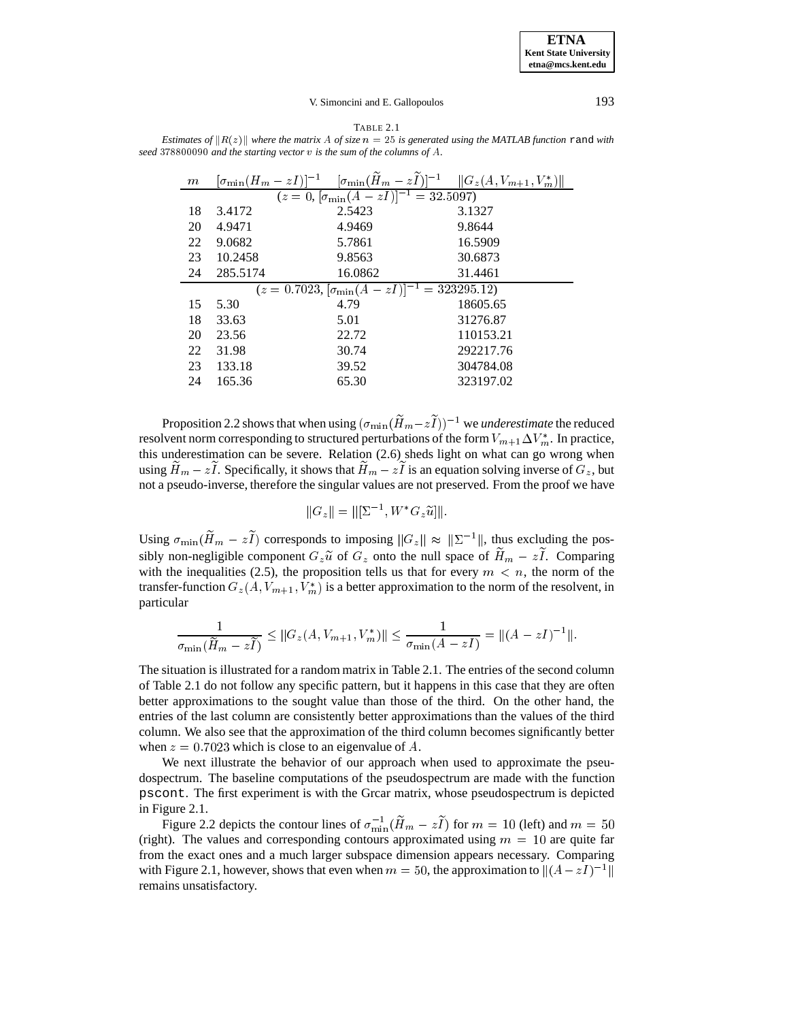**ETNA Kent State University etna@mcs.kent.edu**

#### V. Simoncini and E. Gallopoulos 193

TABLE 2.1 *Estimates of*  $||R(z)||$  *where the matrix* A *of size*  $n = 25$  *is generated using the MATLAB function* rand *with seed* <sup>378800090</sup> *and the starting vector* v *is the sum of the columns of* A*.*

| m                                                                   |          | $[\sigma_{\min}(H_m - zI)]^{-1} \quad [\sigma_{\min}(\widetilde{H}_m - z\widetilde{I})]^{-1} \quad \ G_z(A, V_{m+1}, V_m^*)\ $ |           |
|---------------------------------------------------------------------|----------|--------------------------------------------------------------------------------------------------------------------------------|-----------|
| $(z=0, \left[\sigma_{\min}(\overline{A-zI})\right]^{-1} = 32.5097)$ |          |                                                                                                                                |           |
| 18                                                                  | 3.4172   | 2.5423                                                                                                                         | 3.1327    |
| 20                                                                  | 4.9471   | 4.9469                                                                                                                         | 9.8644    |
| 22                                                                  | 9.0682   | 5.7861                                                                                                                         | 16.5909   |
| 23                                                                  | 10.2458  | 9.8563                                                                                                                         | 30.6873   |
| 24                                                                  | 285.5174 | 16.0862                                                                                                                        | 31.4461   |
| $(z = 0.7023, [\sigma_{\min}(A - zI)]^{-1} = 323295.12)$            |          |                                                                                                                                |           |
| 15                                                                  | 5.30     | 4.79                                                                                                                           | 18605.65  |
| 18                                                                  | 33.63    | 5.01                                                                                                                           | 31276.87  |
| 20                                                                  | 23.56    | 22.72                                                                                                                          | 110153.21 |
| 22                                                                  | 31.98    | 30.74                                                                                                                          | 292217.76 |
| 23                                                                  | 133.18   | 39.52                                                                                                                          | 304784.08 |
| 24                                                                  | 165.36   | 65.30                                                                                                                          | 323197.02 |
|                                                                     |          |                                                                                                                                |           |

Proposition 2.2 shows that when using  $(\sigma_{\min}(H_m - zI))^{-1}$  we *underestimate* the reduced resolvent norm corresponding to structured perturbations of the form  $V_{m+1}\Delta V_m^*$ . In practice, this underestimation can be severe. Relation (2.6) sheds light on what can go wrong when using  $\widetilde{H}_m - z\widetilde{I}$ . Specifically, it shows that  $\widetilde{H}_m - z\widetilde{I}$  is an equation solving inverse of  $G_z$ , but not a pseudo-inverse, therefore the singular values are not preserved. From the proof we have

$$
||G_z|| = ||[\Sigma^{-1}, W^*G_z \widetilde{u}||].
$$

Using  $\sigma_{\min}(\widetilde{H}_m - z\widetilde{I})$  corresponds to imposing  $||G_z|| \approx ||\Sigma^{-1}||$ , thus excluding the possibly non-negligible component  $G_z \tilde{u}$  of  $G_z$  onto the null space of  $\tilde{H}_m - z\tilde{I}$ . Comparing with the inequalities (2.5), the proposition tells us that for every  $m < n$ , the norm of the transfer-function  $G_z(A, V_{m+1}, V_m^*)$  is a better approximation to the norm of the resolvent, in particular

$$
\frac{1}{\sigma_{\min}(\widetilde{H}_m - z\widetilde{I})} \le ||G_z(A, V_{m+1}, V_m^*)|| \le \frac{1}{\sigma_{\min}(A - zI)} = ||(A - zI)^{-1}||.
$$

The situation is illustrated for a random matrix in Table 2.1. The entries of the second column of Table 2.1 do not follow any specific pattern, but it happens in this case that they are often better approximations to the sought value than those of the third. On the other hand, the entries of the last column are consistently better approximations than the values of the third column. We also see that the approximation of the third column becomes significantly better when  $z = 0.7023$  which is close to an eigenvalue of A.

We next illustrate the behavior of our approach when used to approximate the pseudospectrum. The baseline computations of the pseudospectrum are made with the function pscont. The first experiment is with the Grcar matrix, whose pseudospectrum is depicted in Figure 2.1.

Figure 2.2 depicts the contour lines of  $\sigma_{\min}^{-1}(H_m - zI)$  for  $m = 10$  (left) and  $m = 50$ (right). The values and corresponding contours approximated using  $m = 10$  are quite far from the exact ones and a much larger subspace dimension appears necessary. Comparing with Figure 2.1, however, shows that even when  $m = 50$ , the approximation to  $\|(A - zI)^{-1}\|$ remains unsatisfactory.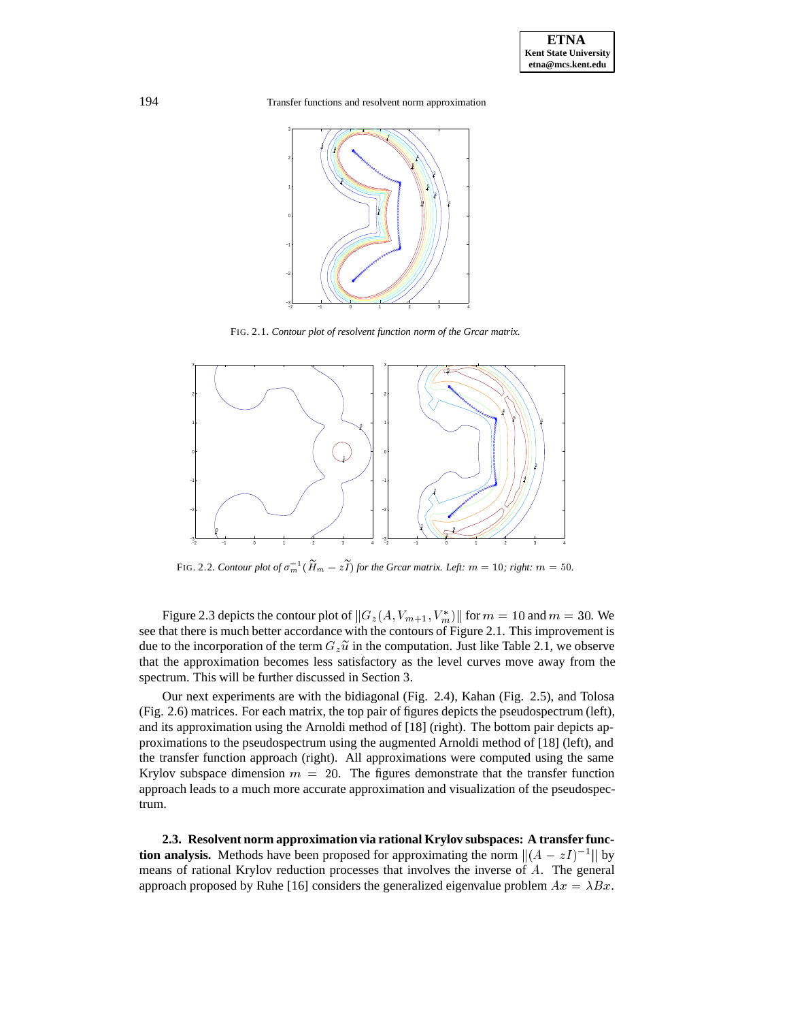

FIG. 2.1. *Contour plot of resolvent function norm of the Grcar matrix.*



FIG. 2.2. *Contour plot of*  $\sigma_m^{-1}(\widetilde{H}_m - z\widetilde{I})$  *for the Grcar matrix. Left:*  $m = 10$ *; right:*  $m = 50$ *.* 

Figure 2.3 depicts the contour plot of  $||G_z(A, V_{m+1}, V_m^*)||$  for  $m = 10$  and  $m = 30$ . We see that there is much better accordance with the contours of Figure 2.1. This improvement is due to the incorporation of the term  $G_z\tilde{u}$  in the computation. Just like Table 2.1, we observe that the approximation becomes less satisfactory as the level curves move away from the spectrum. This will be further discussed in Section 3.

Our next experiments are with the bidiagonal (Fig. 2.4), Kahan (Fig. 2.5), and Tolosa (Fig. 2.6) matrices. For each matrix, the top pair of figures depicts the pseudospectrum (left), and its approximation using the Arnoldi method of [18] (right). The bottom pair depicts approximations to the pseudospectrum using the augmented Arnoldi method of [18] (left), and the transfer function approach (right). All approximations were computed using the same Krylov subspace dimension  $m = 20$ . The figures demonstrate that the transfer function approach leads to a much more accurate approximation and visualization of the pseudospectrum.

**2.3. Resolvent norm approximation via rational Krylov subspaces: A transfer function analysis.** Methods have been proposed for approximating the norm  $\|(A - zI)^{-1}\|$  by means of rational Krylov reduction processes that involves the inverse of A. The general approach proposed by Ruhe [16] considers the generalized eigenvalue problem  $Ax = \lambda Bx$ .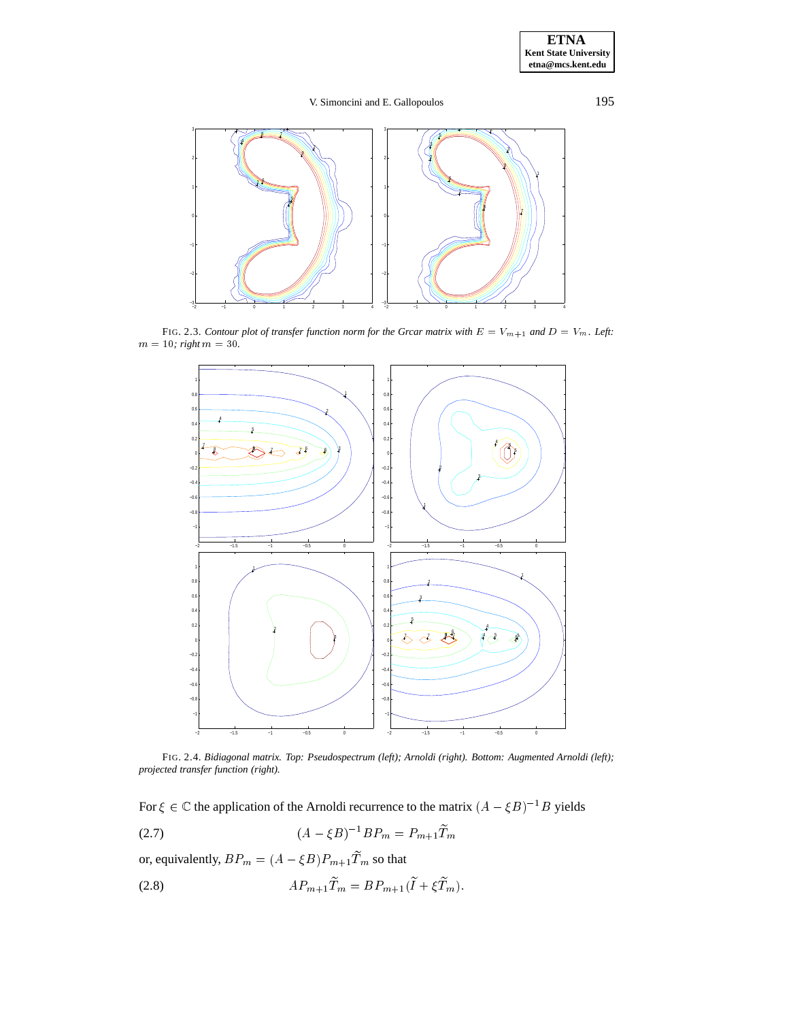

FIG. 2.3. *Contour plot of transfer function norm for the Grcar matrix with*  $E = V_{m+1}$  *and*  $D = V_m$ *. Left:*  $m = 10$ ; right  $m = 30$ .



FIG. 2.4. *Bidiagonal matrix. Top: Pseudospectrum (left); Arnoldi (right). Bottom: Augmented Arnoldi (left); projected transfer function (right).*

For  $\xi \in \mathbb{C}$  the application of the Arnoldi recurrence to the matrix  $(A - \xi B)^{-1}B$  yields

(2.7) 
$$
(A - \xi B)^{-1} B P_m = P_{m+1} \widetilde{T}_m
$$

or, equivalently,  $BP_m = (A - \xi B) P_{m+1} \widetilde{T}_m$  so that

$$
(2.8) \tAP_{m+1}\widetilde{T}_m = BP_{m+1}(\widetilde{I} + \xi \widetilde{T}_m).
$$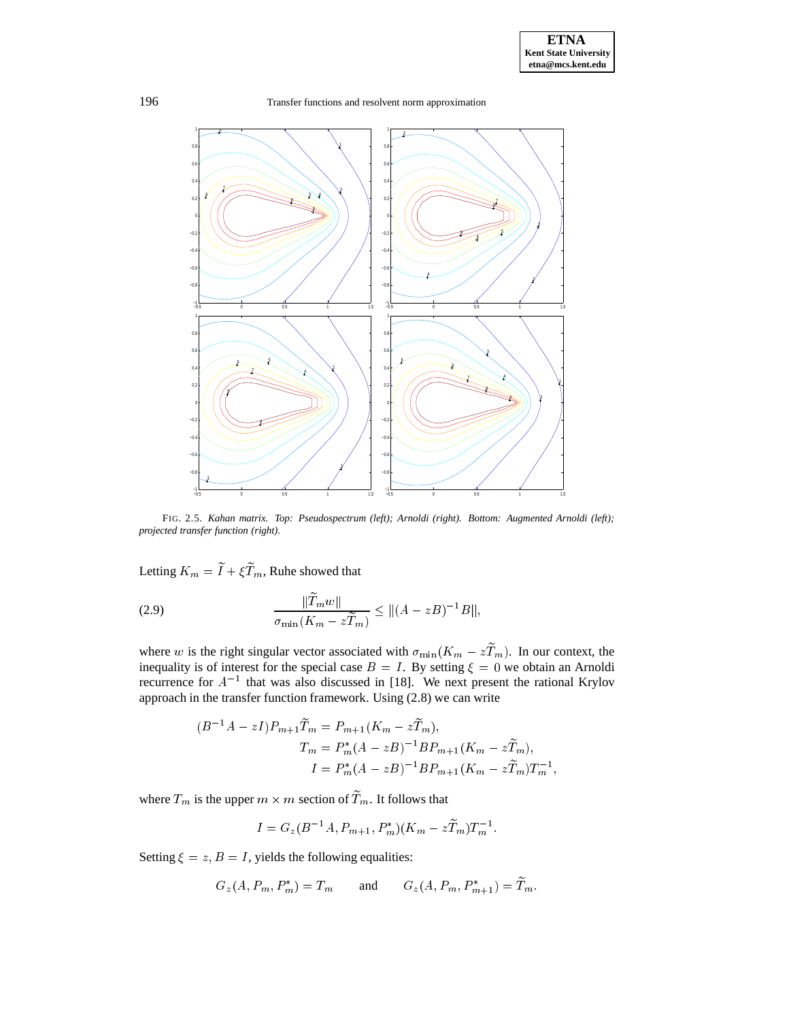

FIG. 2.5. *Kahan matrix. Top: Pseudospectrum (left); Arnoldi (right). Bottom: Augmented Arnoldi (left); projected transfer function (right).*

Letting  $K_m = \widetilde{I} + \xi \widetilde{T}_m,$  Ruhe showed that

(2.9) 
$$
\frac{\|\widetilde{T}_m w\|}{\sigma_{\min}(K_m - z\widetilde{T}_m)} \leq \|(A - zB)^{-1}B\|,
$$

where w is the right singular vector associated with  $\sigma_{\min}(K_m - zT_m)$ . In our context, the inequality is of interest for the special case  $B = I$ . By setting  $\xi = 0$  we obtain an Arnoldi recurrence for  $A^{-1}$  that was also discussed in [18]. We next present the rational Krylov approach in the transfer function framework. Using (2.8) we can write

$$
(B^{-1}A - zI)P_{m+1}\widetilde{T}_m = P_{m+1}(K_m - z\widetilde{T}_m),
$$
  
\n
$$
T_m = P_m^*(A - zB)^{-1}BP_{m+1}(K_m - z\widetilde{T}_m),
$$
  
\n
$$
I = P_m^*(A - zB)^{-1}BP_{m+1}(K_m - z\widetilde{T}_m)T_m^{-1},
$$

where  $T_m$  is the upper  $m \times m$  section of  $T_m$ . It follows that

$$
I = G_z(B^{-1}A, P_{m+1}, P_m^*)(K_m - z\widetilde{T}_m)T_m^{-1}.
$$

Setting  $\xi = z$ ,  $B = I$ , yields the following equalities:

$$
G_z(A, P_m, P_m^*) = T_m
$$
 and  $G_z(A, P_m, P_{m+1}^*) = T_m$ .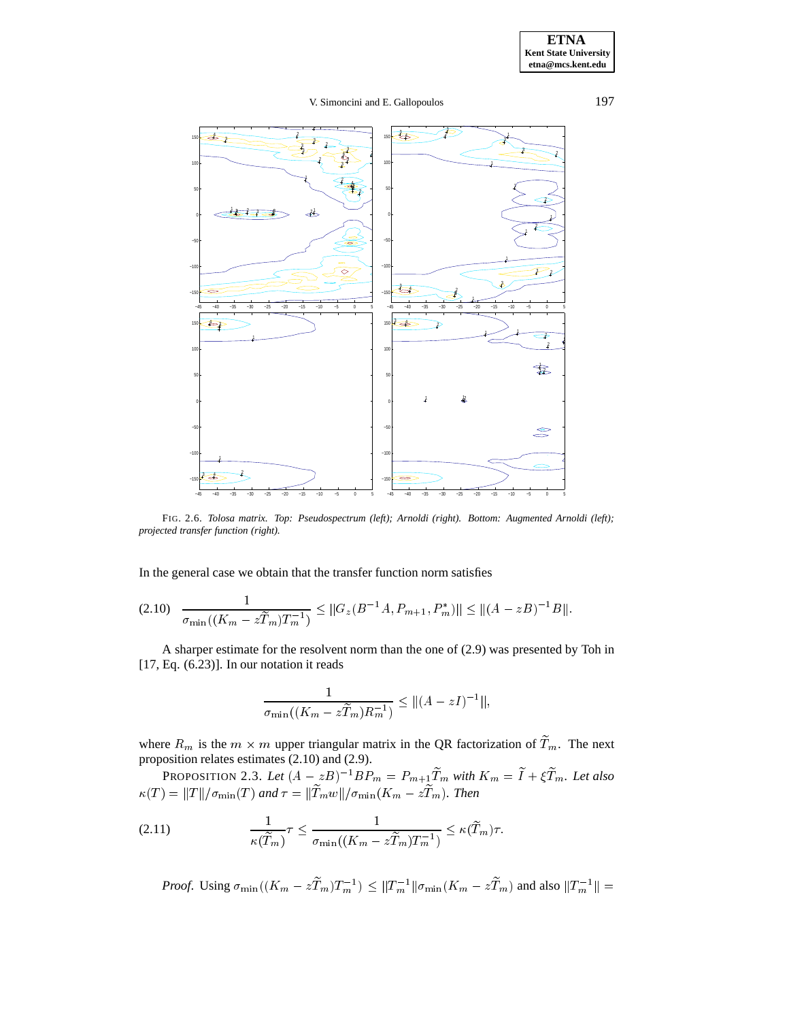

FIG. 2.6. *Tolosa matrix. Top: Pseudospectrum (left); Arnoldi (right). Bottom: Augmented Arnoldi (left); projected transfer function (right).*

In the general case we obtain that the transfer function norm satisfies

$$
(2.10) \quad \frac{1}{\sigma_{\min}((K_m - z\widetilde{T}_m)T_m^{-1})} \leq \|G_z(B^{-1}A, P_{m+1}, P_m^*)\| \leq \|(A - zB)^{-1}B\|.
$$

A sharper estimate for the resolvent norm than the one of (2.9) was presented by Toh in [17, Eq. (6.23)]. In our notation it reads

$$
\frac{1}{\sigma_{\min}((K_m - z\widetilde{T}_m)R_m^{-1})} \le ||(A - zI)^{-1}||,
$$

where  $R_m$  is the  $m \times m$  upper triangular matrix in the QR factorization of  $T_m$ . The next proposition relates estimates (2.10) and (2.9).

PROPOSITION 2.3. Let  $(A - zB)^{-1}BP_m = P_{m+1}T_m$  with  $K_m = I + \xi T_m$ . Let also  $\kappa(T) = ||T||/\sigma_{\min}(T)$  and  $\tau = ||T_m w||/\sigma_{\min}(K_m - zT_m)$ . Then

$$
(2.11) \qquad \frac{1}{\kappa(\widetilde{T}_m)} \tau \le \frac{1}{\sigma_{\min}((K_m - z\widetilde{T}_m)T_m^{-1})} \le \kappa(\widetilde{T}_m)\tau.
$$

*Proof.* Using  $\sigma_{\min}((K_m - zT_m)T_m^{-1}) \le ||T_m^{-1}||\sigma_{\min}(K_m - zT_m)$  and also  $||T_m^{-1}|| =$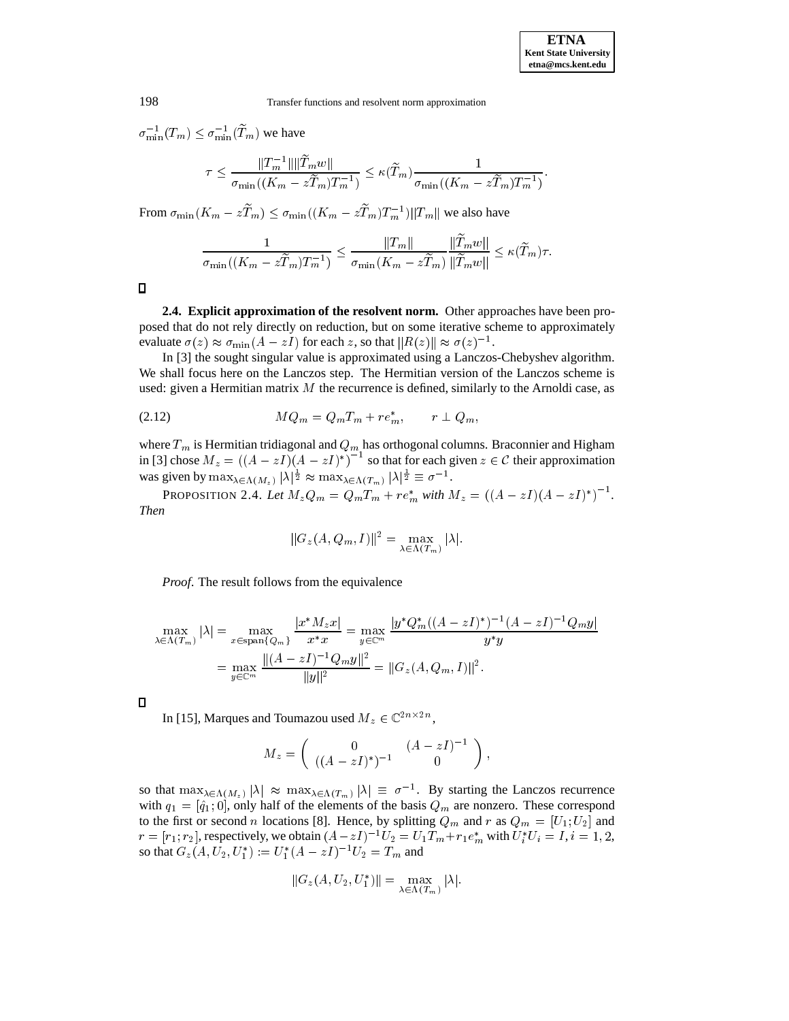$\sigma_{\min}^{-1}(T_m) \leq \sigma_{\min}^{-1}(T_m)$  we have

$$
\tau \leq \frac{\|T_m^{-1}\| \|\tilde{T}_m w\|}{\sigma_{\min}((K_m - z\tilde{T}_m)T_m^{-1})} \leq \kappa(\tilde{T}_m) \frac{1}{\sigma_{\min}((K_m - z\tilde{T}_m)T_m^{-1})}.
$$

From  $\sigma_{\min}(K_m - zT_m) \leq \sigma_{\min}((K_m - zT_m)T_m^{-1})||T_m||$  we also have

$$
\frac{1}{\sigma_{\min}((K_m - z\widetilde{T}_m)T_m^{-1})} \le \frac{\|T_m\|}{\sigma_{\min}(K_m - z\widetilde{T}_m)} \frac{\|T_m w\|}{\|\widetilde{T}_m w\|} \le \kappa(\widetilde{T}_m)\tau.
$$

 $\Box$ 

**2.4. Explicit approximation of the resolvent norm.** Other approaches have been proposed that do not rely directly on reduction, but on some iterative scheme to approximately evaluate  $\sigma(z) \approx \sigma_{\min}(A - zI)$  for each z, so that  $||R(z)|| \approx \sigma(z)^{-1}$ .

In [3] the sought singular value is approximated using a Lanczos-Chebyshev algorithm. We shall focus here on the Lanczos step. The Hermitian version of the Lanczos scheme is used: given a Hermitian matrix  $M$  the recurrence is defined, similarly to the Arnoldi case, as

MQm <sup>=</sup> QmTm <sup>+</sup> re (2.12) m; <sup>r</sup> ? Qm;

where  $T_m$  is Hermitian tridiagonal and  $Q_m$  has orthogonal columns. Braconnier and Higham in [3] chose  $M_z = ((A - zI)(A - zI)^*)^{-1}$  so that for each given  $z \in C$  their approximation was given by  $\max_{\lambda \in \Lambda(M_z)} |\lambda|^{\frac{1}{2}} \approx \max_{\lambda \in \Lambda(T_m)} |\lambda|^{\frac{1}{2}} \equiv \sigma^{-1}$ .

PROPOSITION 2.4. Let  $M_z Q_m = Q_m T_m + r e_m^*$  with  $M_z = ((A - zI)(A - zI)^*)^{-1}$ . *Then*

$$
||G_z(A, Q_m, I)||^2 = \max_{\lambda \in \Lambda(T_m)} |\lambda|.
$$

*Proof*. The result follows from the equivalence

$$
\max_{\lambda \in \Lambda(T_m)} |\lambda| = \max_{x \in \text{span}\{Q_m\}} \frac{|x^* M_z x|}{x^* x} = \max_{y \in \mathbb{C}^m} \frac{|y^* Q_m^* ((A - zI)^*)^{-1} (A - zI)^{-1} Q_m y|}{y^* y}
$$

$$
= \max_{y \in \mathbb{C}^m} \frac{\|(A - zI)^{-1} Q_m y\|^2}{\|y\|^2} = \|G_z(A, Q_m, I)\|^2.
$$

 $\Box$ 

In [15], Marques and Toumazou used  $M_z \in \mathbb{C}^{2n \times 2n}$ ,

$$
M_z = \begin{pmatrix} 0 & (A - zI)^{-1} \\ ((A - zI)^*)^{-1} & 0 \end{pmatrix},
$$

so that  $\max_{\lambda \in \Lambda(M_z)} |\lambda| \approx \max_{\lambda \in \Lambda(T_m)} |\lambda| \equiv \sigma^{-1}$ . By starting the Lanczos recurrence with  $q_1 = [\hat{q}_1; 0]$ , only half of the elements of the basis  $Q_m$  are nonzero. These correspond to the first or second n locations [8]. Hence, by splitting  $Q_m$  and r as  $Q_m = [U_1; U_2]$  and  $r = [r_1; r_2]$ , respectively, we obtain  $(A - zI)^{-1}U_2 = U_1T_m + r_1e_m^*$  with  $U_i^*U_i = I$ ,  $i = 1, 2$ , so that  $G_z(A, U_2, U_1^*) := U_1^*(A - zI)^{-1}U_2 = T_m$  and

$$
||G_z(A, U_2, U_1^*)|| = \max_{\lambda \in \Lambda(T_m)} |\lambda|.
$$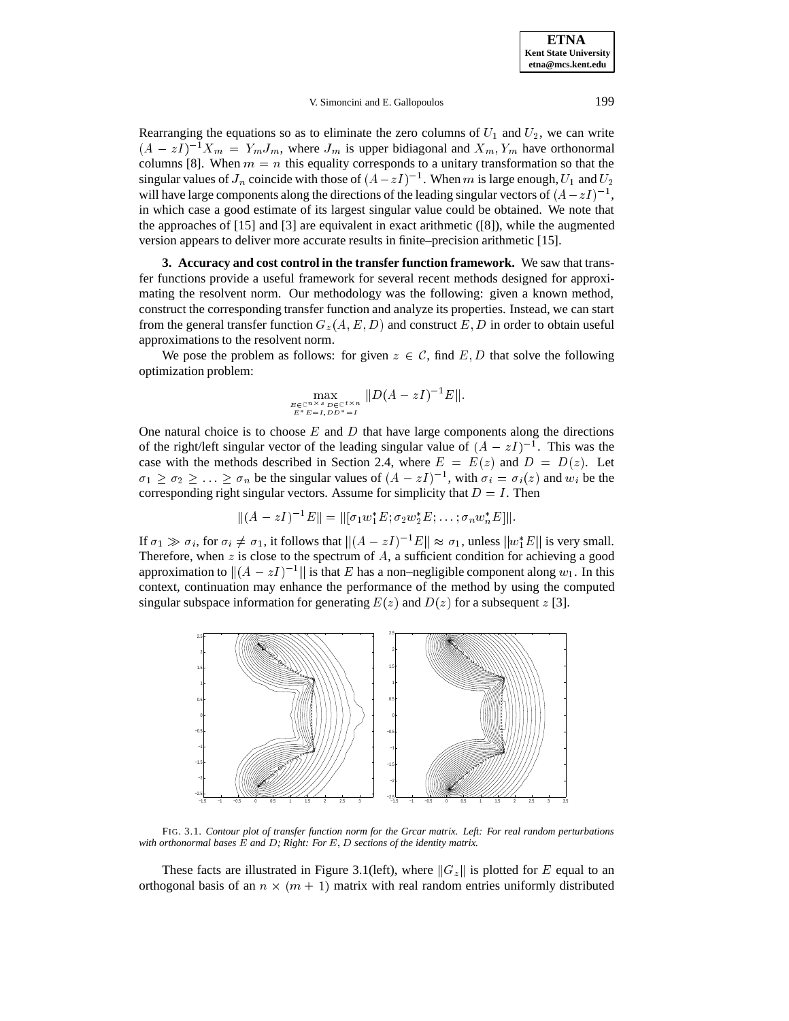Rearranging the equations so as to eliminate the zero columns of  $U_1$  and  $U_2$ , we can write  $(A - zI)^{-1}X_m = Y_mJ_m$ , where  $J_m$  is upper bidiagonal and  $X_m, Y_m$  have orthonormal columns [8]. When  $m = n$  this equality corresponds to a unitary transformation so that the singular values of  $J_n$  coincide with those of  $(A-zI)^{-1}$ . When m is large enough,  $U_1$  and  $U_2$ will have large components along the directions of the leading singular vectors of  $(A-zI)^{-1}$ , in which case a good estimate of its largest singular value could be obtained. We note that the approaches of [15] and [3] are equivalent in exact arithmetic ([8]), while the augmented version appears to deliver more accurate results in finite–precision arithmetic [15].

**3. Accuracy and cost control in the transfer function framework.** We saw that transfer functions provide a useful framework for several recent methods designed for approximating the resolvent norm. Our methodology was the following: given a known method, construct the corresponding transfer function and analyze its properties. Instead, we can start from the general transfer function  $G_z(A, E, D)$  and construct E, D in order to obtain useful approximations to the resolvent norm.

We pose the problem as follows: for given  $z \in C$ , find E, D that solve the following optimization problem:

$$
\max_{E \in \mathbb{C}^{n \times s}} \max_{\substack{D \in \mathbb{C}^{t \times n} \\ E^* E = I \cup D} } ||D(A - zI)^{-1}E||.
$$

One natural choice is to choose  $E$  and  $D$  that have large components along the directions of the right/left singular vector of the leading singular value of  $(A - zI)^{-1}$ . This was the case with the methods described in Section 2.4, where  $E = E(z)$  and  $D = D(z)$ . Let  $\sigma_1 \geq \sigma_2 \geq \ldots \geq \sigma_n$  be the singular values of  $(A - zI)^{-1}$ , with  $\sigma_i = \sigma_i(z)$  and  $w_i$  be the corresponding right singular vectors. Assume for simplicity that  $D = I$ . Then

$$
||(A-zI)^{-1}E|| = ||[\sigma_1 w_1^*E; \sigma_2 w_2^*E; \ldots; \sigma_n w_n^*E]||.
$$

If  $\sigma_1 \gg \sigma_i$ , for  $\sigma_i \neq \sigma_1$ , it follows that  $|| (A - zI)^{-1}E || \approx \sigma_1$ , unless  $||w_1^*E||$  is very small. Therefore, when z is close to the spectrum of  $A$ , a sufficient condition for achieving a good approximation to  $\|(A - zI)^{-1}\|$  is that E has a non–negligible component along  $w_1$ . In this context, continuation may enhance the performance of the method by using the computed singular subspace information for generating  $E(z)$  and  $D(z)$  for a subsequent z [3].



FIG. 3.1. *Contour plot of transfer function norm for the Grcar matrix. Left: For real random perturbations with orthonormal bases* E *and* D*; Right: For* E;D *sections of the identity matrix.*

These facts are illustrated in Figure 3.1(left), where  $||G_z||$  is plotted for E equal to an orthogonal basis of an  $n \times (m + 1)$  matrix with real random entries uniformly distributed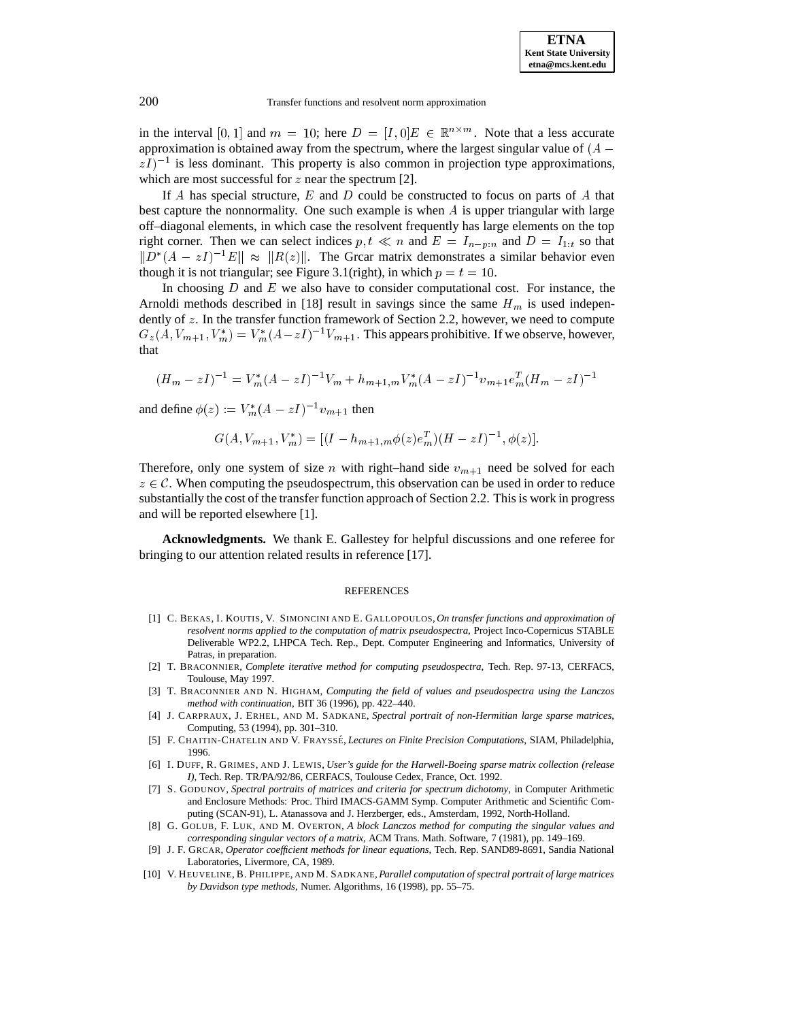in the interval [0, 1] and  $m = 10$ ; here  $D = [I, 0]E \in \mathbb{R}^{n \times m}$ . Note that a less accurate approximation is obtained away from the spectrum, where the largest singular value of  $(A (zI)^{-1}$  is less dominant. This property is also common in projection type approximations, which are most successful for  $z$  near the spectrum [2].

If  $A$  has special structure,  $E$  and  $D$  could be constructed to focus on parts of  $A$  that best capture the nonnormality. One such example is when  $\tilde{A}$  is upper triangular with large off–diagonal elements, in which case the resolvent frequently has large elements on the top right corner. Then we can select indices  $p, t \ll n$  and  $E = I_{n-p:n}$  and  $D = I_{1:t}$  so that  $||D^*(A - zI)^{-1}E|| \approx ||R(z)||$ . The Grcar matrix demonstrates a similar behavior even though it is not triangular; see Figure 3.1(right), in which  $p = t = 10$ .

In choosing  $D$  and  $E$  we also have to consider computational cost. For instance, the Arnoldi methods described in [18] result in savings since the same  $H_m$  is used independently of z. In the transfer function framework of Section 2.2, however, we need to compute  $G_z(A, V_{m+1}, V_m^*) = V_m^*(A - zI)^{-1}V_{m+1}$ . This appears prohibitive. If we observe, however, that

$$
(H_m - zI)^{-1} = V_m^*(A - zI)^{-1}V_m + h_{m+1,m}V_m^*(A - zI)^{-1}v_{m+1}e_m^T(H_m - zI)^{-1}
$$

and define  $\phi(z) := V_m^*(A - zI)^{-1}v_{m+1}$  then

$$
G(A, V_{m+1}, V_m^*) = [(I - h_{m+1,m}\phi(z)e_m^T)(H - zI)^{-1}, \phi(z)].
$$

Therefore, only one system of size n with right–hand side  $v_{m+1}$  need be solved for each  $z \in \mathcal{C}$ . When computing the pseudospectrum, this observation can be used in order to reduce substantially the cost of the transfer function approach of Section 2.2. This is work in progress and will be reported elsewhere [1].

**Acknowledgments.** We thank E. Gallestey for helpful discussions and one referee for bringing to our attention related results in reference [17].

#### REFERENCES

- [1] C. BEKAS, I. KOUTIS, V. SIMONCINI AND E. GALLOPOULOS,*On transfer functions and approximation of resolvent norms applied to the computation of matrix pseudospectra*, Project Inco-Copernicus STABLE Deliverable WP2.2, LHPCA Tech. Rep., Dept. Computer Engineering and Informatics, University of Patras, in preparation.
- [2] T. BRACONNIER, *Complete iterative method for computing pseudospectra*, Tech. Rep. 97-13, CERFACS, Toulouse, May 1997.
- [3] T. BRACONNIER AND N. HIGHAM, *Computing the field of values and pseudospectra using the Lanczos method with continuation*, BIT 36 (1996), pp. 422–440.
- [4] J. CARPRAUX, J. ERHEL, AND M. SADKANE, *Spectral portrait of non-Hermitian large sparse matrices*, Computing, 53 (1994), pp. 301–310.
- [5] F. CHAITIN-CHATELIN AND V. FRAYSSE´, *Lectures on Finite Precision Computations*, SIAM, Philadelphia, 1996.
- [6] I. DUFF, R. GRIMES, AND J. LEWIS, *User's guide for the Harwell-Boeing sparse matrix collection (release I)*, Tech. Rep. TR/PA/92/86, CERFACS, Toulouse Cedex, France, Oct. 1992.
- [7] S. GODUNOV, *Spectral portraits of matrices and criteria for spectrum dichotomy*, in Computer Arithmetic and Enclosure Methods: Proc. Third IMACS-GAMM Symp. Computer Arithmetic and Scientific Computing (SCAN-91), L. Atanassova and J. Herzberger, eds., Amsterdam, 1992, North-Holland.
- [8] G. GOLUB, F. LUK, AND M. OVERTON, *A block Lanczos method for computing the singular values and corresponding singular vectors of a matrix*, ACM Trans. Math. Software, 7 (1981), pp. 149–169.
- [9] J. F. GRCAR, *Operator coefficient methods for linear equations*, Tech. Rep. SAND89-8691, Sandia National Laboratories, Livermore, CA, 1989.
- [10] V. HEUVELINE, B. PHILIPPE, AND M. SADKANE, *Parallel computation of spectral portrait of large matrices by Davidson type methods*, Numer. Algorithms, 16 (1998), pp. 55–75.